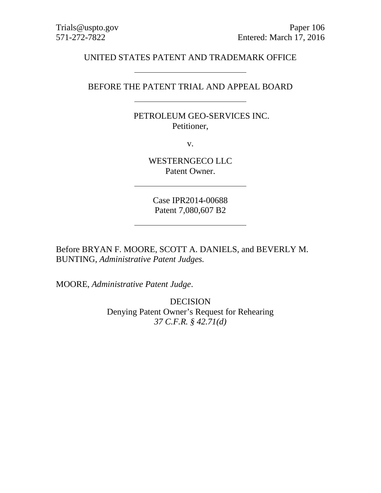Trials@uspto.gov Paper 106 571-272-7822 Entered: March 17, 2016

# UNITED STATES PATENT AND TRADEMARK OFFICE

BEFORE THE PATENT TRIAL AND APPEAL BOARD

PETROLEUM GEO-SERVICES INC. Petitioner,

v.

WESTERNGECO LLC Patent Owner.

Case IPR2014-00688 Patent 7,080,607 B2

Before BRYAN F. MOORE, SCOTT A. DANIELS, and BEVERLY M. BUNTING, *Administrative Patent Judges.*

MOORE, *Administrative Patent Judge*.

**DECISION** Denying Patent Owner's Request for Rehearing *37 C.F.R. § 42.71(d)*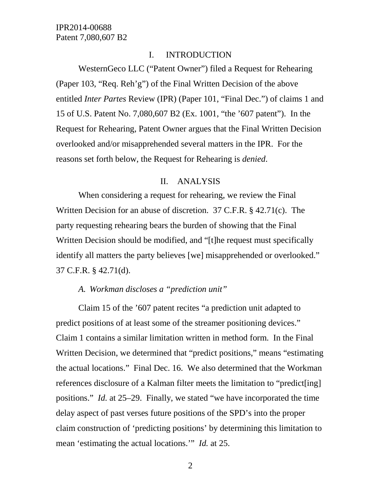### I. INTRODUCTION

WesternGeco LLC ("Patent Owner") filed a Request for Rehearing (Paper 103, "Req. Reh'g") of the Final Written Decision of the above entitled *Inter Partes* Review (IPR) (Paper 101, "Final Dec.") of claims 1 and 15 of U.S. Patent No. 7,080,607 B2 (Ex. 1001, "the '607 patent"). In the Request for Rehearing, Patent Owner argues that the Final Written Decision overlooked and/or misapprehended several matters in the IPR. For the reasons set forth below, the Request for Rehearing is *denied*.

#### II. ANALYSIS

When considering a request for rehearing, we review the Final Written Decision for an abuse of discretion. 37 C.F.R. § 42.71(c). The party requesting rehearing bears the burden of showing that the Final Written Decision should be modified, and "[t]he request must specifically identify all matters the party believes [we] misapprehended or overlooked." 37 C.F.R. § 42.71(d).

# *A. Workman discloses a "prediction unit"*

Claim 15 of the '607 patent recites "a prediction unit adapted to predict positions of at least some of the streamer positioning devices." Claim 1 contains a similar limitation written in method form. In the Final Written Decision, we determined that "predict positions," means "estimating the actual locations." Final Dec. 16. We also determined that the Workman references disclosure of a Kalman filter meets the limitation to "predict[ing] positions." *Id.* at 25–29. Finally, we stated "we have incorporated the time delay aspect of past verses future positions of the SPD's into the proper claim construction of 'predicting positions' by determining this limitation to mean 'estimating the actual locations.'" *Id.* at 25.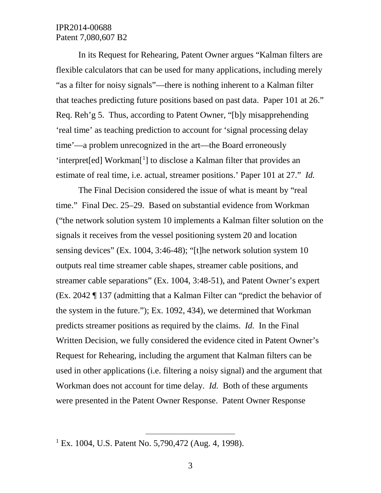In its Request for Rehearing, Patent Owner argues "Kalman filters are flexible calculators that can be used for many applications, including merely "as a filter for noisy signals"—there is nothing inherent to a Kalman filter that teaches predicting future positions based on past data. Paper 101 at 26." Req. Reh'g 5. Thus, according to Patent Owner, "[b]y misapprehending 'real time' as teaching prediction to account for 'signal processing delay time'—a problem unrecognized in the art—the Board erroneously 'interpret[ed] Workman<sup>[[1](#page-2-0)</sup>] to disclose a Kalman filter that provides an estimate of real time, i.e. actual, streamer positions.' Paper 101 at 27." *Id.*

The Final Decision considered the issue of what is meant by "real time." Final Dec. 25–29. Based on substantial evidence from Workman ("the network solution system 10 implements a Kalman filter solution on the signals it receives from the vessel positioning system 20 and location sensing devices" (Ex. 1004, 3:46-48); "[t]he network solution system 10 outputs real time streamer cable shapes, streamer cable positions, and streamer cable separations" (Ex. 1004, 3:48-51), and Patent Owner's expert (Ex. 2042 ¶ 137 (admitting that a Kalman Filter can "predict the behavior of the system in the future."); Ex. 1092, 434), we determined that Workman predicts streamer positions as required by the claims. *Id.* In the Final Written Decision, we fully considered the evidence cited in Patent Owner's Request for Rehearing, including the argument that Kalman filters can be used in other applications (i.e. filtering a noisy signal) and the argument that Workman does not account for time delay. *Id.* Both of these arguments were presented in the Patent Owner Response. Patent Owner Response

<span id="page-2-0"></span><sup>&</sup>lt;sup>1</sup> Ex. 1004, U.S. Patent No. 5,790,472 (Aug. 4, 1998).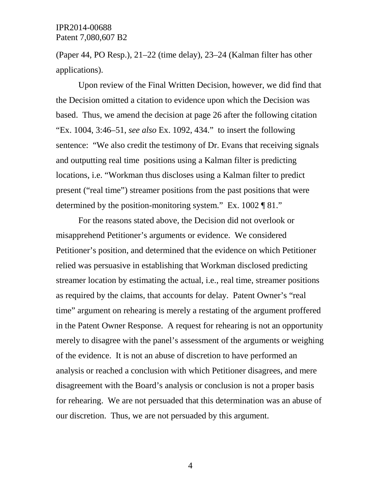(Paper 44, PO Resp.), 21–22 (time delay), 23–24 (Kalman filter has other applications).

Upon review of the Final Written Decision, however, we did find that the Decision omitted a citation to evidence upon which the Decision was based. Thus, we amend the decision at page 26 after the following citation "Ex. 1004, 3:46–51, *see also* Ex. 1092, 434." to insert the following sentence: "We also credit the testimony of Dr. Evans that receiving signals and outputting real time positions using a Kalman filter is predicting locations, i.e. "Workman thus discloses using a Kalman filter to predict present ("real time") streamer positions from the past positions that were determined by the position-monitoring system." Ex. 1002 ¶ 81."

For the reasons stated above, the Decision did not overlook or misapprehend Petitioner's arguments or evidence. We considered Petitioner's position, and determined that the evidence on which Petitioner relied was persuasive in establishing that Workman disclosed predicting streamer location by estimating the actual, i.e., real time, streamer positions as required by the claims, that accounts for delay. Patent Owner's "real time" argument on rehearing is merely a restating of the argument proffered in the Patent Owner Response. A request for rehearing is not an opportunity merely to disagree with the panel's assessment of the arguments or weighing of the evidence. It is not an abuse of discretion to have performed an analysis or reached a conclusion with which Petitioner disagrees, and mere disagreement with the Board's analysis or conclusion is not a proper basis for rehearing. We are not persuaded that this determination was an abuse of our discretion. Thus, we are not persuaded by this argument.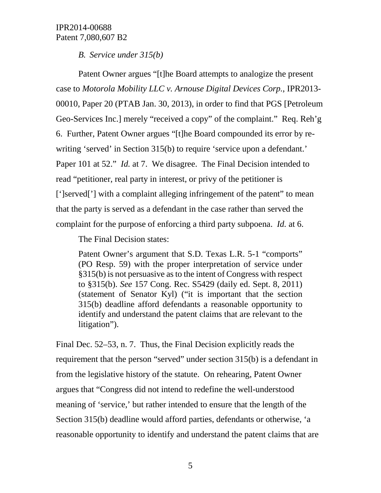*B. Service under 315(b)*

Patent Owner argues "[t]he Board attempts to analogize the present case to *Motorola Mobility LLC v. Arnouse Digital Devices Corp.*, IPR2013- 00010, Paper 20 (PTAB Jan. 30, 2013), in order to find that PGS [Petroleum Geo-Services Inc.] merely "received a copy" of the complaint." Req. Reh'g 6. Further, Patent Owner argues "[t]he Board compounded its error by rewriting 'served' in Section 315(b) to require 'service upon a defendant.' Paper 101 at 52." *Id.* at 7. We disagree. The Final Decision intended to read "petitioner, real party in interest, or privy of the petitioner is [']served['] with a complaint alleging infringement of the patent" to mean that the party is served as a defendant in the case rather than served the complaint for the purpose of enforcing a third party subpoena. *Id.* at 6.

The Final Decision states:

Patent Owner's argument that S.D. Texas L.R. 5-1 "comports" (PO Resp. 59) with the proper interpretation of service under §315(b) is not persuasive as to the intent of Congress with respect to §315(b). *See* 157 Cong. Rec. S5429 (daily ed. Sept. 8, 2011) (statement of Senator Kyl) ("it is important that the section 315(b) deadline afford defendants a reasonable opportunity to identify and understand the patent claims that are relevant to the litigation").

Final Dec. 52–53, n. 7. Thus, the Final Decision explicitly reads the requirement that the person "served" under section 315(b) is a defendant in from the legislative history of the statute. On rehearing, Patent Owner argues that "Congress did not intend to redefine the well-understood meaning of 'service,' but rather intended to ensure that the length of the Section 315(b) deadline would afford parties, defendants or otherwise, 'a reasonable opportunity to identify and understand the patent claims that are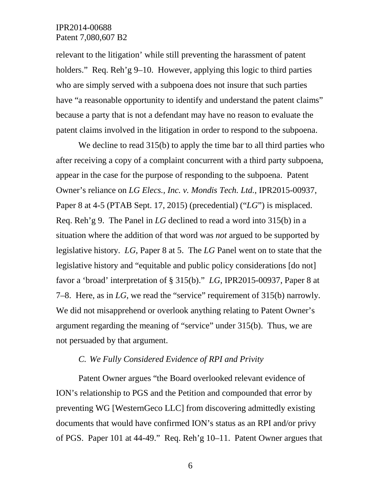relevant to the litigation' while still preventing the harassment of patent holders." Req. Reh'g 9–10. However, applying this logic to third parties who are simply served with a subpoena does not insure that such parties have "a reasonable opportunity to identify and understand the patent claims" because a party that is not a defendant may have no reason to evaluate the patent claims involved in the litigation in order to respond to the subpoena.

We decline to read  $315(b)$  to apply the time bar to all third parties who after receiving a copy of a complaint concurrent with a third party subpoena, appear in the case for the purpose of responding to the subpoena. Patent Owner's reliance on *LG Elecs., Inc. v. Mondis Tech. Ltd.*, IPR2015-00937, Paper 8 at 4-5 (PTAB Sept. 17, 2015) (precedential) ("*LG*") is misplaced. Req. Reh'g 9. The Panel in *LG* declined to read a word into 315(b) in a situation where the addition of that word was *not* argued to be supported by legislative history. *LG*, Paper 8 at 5. The *LG* Panel went on to state that the legislative history and "equitable and public policy considerations [do not] favor a 'broad' interpretation of § 315(b)." *LG*, IPR2015-00937, Paper 8 at 7–8. Here, as in *LG*, we read the "service" requirement of 315(b) narrowly. We did not misapprehend or overlook anything relating to Patent Owner's argument regarding the meaning of "service" under 315(b). Thus, we are not persuaded by that argument.

#### *C. We Fully Considered Evidence of RPI and Privity*

Patent Owner argues "the Board overlooked relevant evidence of ION's relationship to PGS and the Petition and compounded that error by preventing WG [WesternGeco LLC] from discovering admittedly existing documents that would have confirmed ION's status as an RPI and/or privy of PGS. Paper 101 at 44-49." Req. Reh'g 10–11. Patent Owner argues that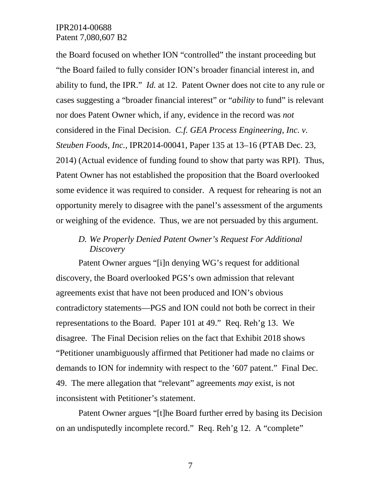the Board focused on whether ION "controlled" the instant proceeding but "the Board failed to fully consider ION's broader financial interest in, and ability to fund, the IPR." *Id.* at 12. Patent Owner does not cite to any rule or cases suggesting a "broader financial interest" or "*ability* to fund" is relevant nor does Patent Owner which, if any, evidence in the record was *not*  considered in the Final Decision. *C.f. GEA Process Engineering, Inc. v. Steuben Foods, Inc.*, IPR2014-00041, Paper 135 at 13–16 (PTAB Dec. 23, 2014) (Actual evidence of funding found to show that party was RPI). Thus, Patent Owner has not established the proposition that the Board overlooked some evidence it was required to consider. A request for rehearing is not an opportunity merely to disagree with the panel's assessment of the arguments or weighing of the evidence. Thus, we are not persuaded by this argument.

# *D. We Properly Denied Patent Owner's Request For Additional Discovery*

Patent Owner argues "[i]n denying WG's request for additional discovery, the Board overlooked PGS's own admission that relevant agreements exist that have not been produced and ION's obvious contradictory statements—PGS and ION could not both be correct in their representations to the Board. Paper 101 at 49." Req. Reh'g 13. We disagree. The Final Decision relies on the fact that Exhibit 2018 shows "Petitioner unambiguously affirmed that Petitioner had made no claims or demands to ION for indemnity with respect to the '607 patent." Final Dec. 49. The mere allegation that "relevant" agreements *may* exist, is not inconsistent with Petitioner's statement.

Patent Owner argues "[t]he Board further erred by basing its Decision on an undisputedly incomplete record." Req. Reh'g 12. A "complete"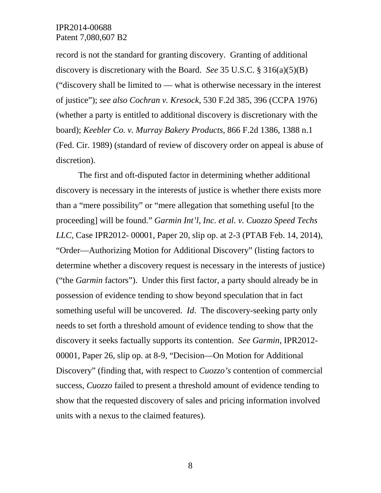record is not the standard for granting discovery. Granting of additional discovery is discretionary with the Board. *See* 35 U.S.C. § 316(a)(5)(B) ("discovery shall be limited to — what is otherwise necessary in the interest of justice"); *see also Cochran v. Kresock*, 530 F.2d 385, 396 (CCPA 1976) (whether a party is entitled to additional discovery is discretionary with the board); *Keebler Co. v. Murray Bakery Products*, 866 F.2d 1386, 1388 n.1 (Fed. Cir. 1989) (standard of review of discovery order on appeal is abuse of discretion).

The first and oft-disputed factor in determining whether additional discovery is necessary in the interests of justice is whether there exists more than a "mere possibility" or "mere allegation that something useful [to the proceeding] will be found." *Garmin Int'l, Inc. et al. v. Cuozzo Speed Techs LLC,* Case IPR2012- 00001, Paper 20, slip op. at 2-3 (PTAB Feb. 14, 2014), "Order—Authorizing Motion for Additional Discovery" (listing factors to determine whether a discovery request is necessary in the interests of justice) ("the *Garmin* factors"). Under this first factor, a party should already be in possession of evidence tending to show beyond speculation that in fact something useful will be uncovered. *Id*. The discovery-seeking party only needs to set forth a threshold amount of evidence tending to show that the discovery it seeks factually supports its contention. *See Garmin*, IPR2012- 00001, Paper 26, slip op. at 8-9, "Decision—On Motion for Additional Discovery" (finding that, with respect to *Cuozzo's* contention of commercial success, *Cuozzo* failed to present a threshold amount of evidence tending to show that the requested discovery of sales and pricing information involved units with a nexus to the claimed features).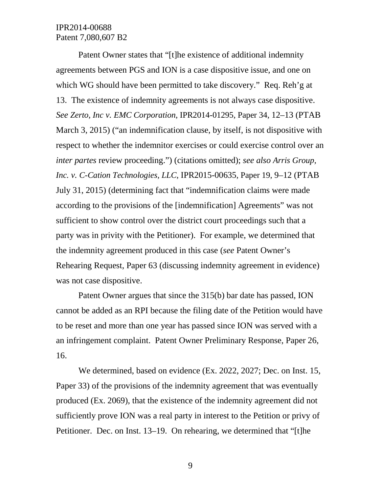Patent Owner states that "[t]he existence of additional indemnity agreements between PGS and ION is a case dispositive issue, and one on which WG should have been permitted to take discovery." Req. Reh'g at 13. The existence of indemnity agreements is not always case dispositive. *See Zerto, Inc v. EMC Corporation*, IPR2014-01295, Paper 34, 12–13 (PTAB March 3, 2015) ("an indemnification clause, by itself, is not dispositive with respect to whether the indemnitor exercises or could exercise control over an *inter partes* review proceeding.") (citations omitted); *see also Arris Group, Inc. v. C-Cation Technologies, LLC*, IPR2015-00635, Paper 19, 9–12 (PTAB July 31, 2015) (determining fact that "indemnification claims were made according to the provisions of the [indemnification] Agreements" was not sufficient to show control over the district court proceedings such that a party was in privity with the Petitioner). For example, we determined that the indemnity agreement produced in this case (*see* Patent Owner's Rehearing Request, Paper 63 (discussing indemnity agreement in evidence) was not case dispositive.

Patent Owner argues that since the 315(b) bar date has passed, ION cannot be added as an RPI because the filing date of the Petition would have to be reset and more than one year has passed since ION was served with a an infringement complaint. Patent Owner Preliminary Response, Paper 26, 16.

We determined, based on evidence (Ex. 2022, 2027; Dec. on Inst. 15, Paper 33) of the provisions of the indemnity agreement that was eventually produced (Ex. 2069), that the existence of the indemnity agreement did not sufficiently prove ION was a real party in interest to the Petition or privy of Petitioner. Dec. on Inst. 13–19. On rehearing, we determined that "[t]he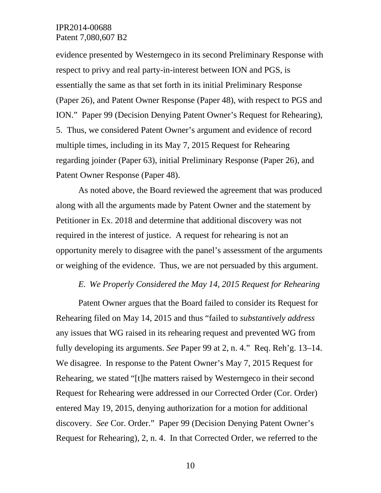evidence presented by Westerngeco in its second Preliminary Response with respect to privy and real party-in-interest between ION and PGS, is essentially the same as that set forth in its initial Preliminary Response (Paper 26), and Patent Owner Response (Paper 48), with respect to PGS and ION." Paper 99 (Decision Denying Patent Owner's Request for Rehearing), 5. Thus, we considered Patent Owner's argument and evidence of record multiple times, including in its May 7, 2015 Request for Rehearing regarding joinder (Paper 63), initial Preliminary Response (Paper 26), and Patent Owner Response (Paper 48).

As noted above, the Board reviewed the agreement that was produced along with all the arguments made by Patent Owner and the statement by Petitioner in Ex. 2018 and determine that additional discovery was not required in the interest of justice. A request for rehearing is not an opportunity merely to disagree with the panel's assessment of the arguments or weighing of the evidence. Thus, we are not persuaded by this argument.

#### *E. We Properly Considered the May 14, 2015 Request for Rehearing*

Patent Owner argues that the Board failed to consider its Request for Rehearing filed on May 14, 2015 and thus "failed to *substantively address* any issues that WG raised in its rehearing request and prevented WG from fully developing its arguments. *See* Paper 99 at 2, n. 4." Req. Reh'g. 13–14. We disagree. In response to the Patent Owner's May 7, 2015 Request for Rehearing, we stated "[t]he matters raised by Westerngeco in their second Request for Rehearing were addressed in our Corrected Order (Cor. Order) entered May 19, 2015, denying authorization for a motion for additional discovery. *See* Cor. Order." Paper 99 (Decision Denying Patent Owner's Request for Rehearing), 2, n. 4. In that Corrected Order, we referred to the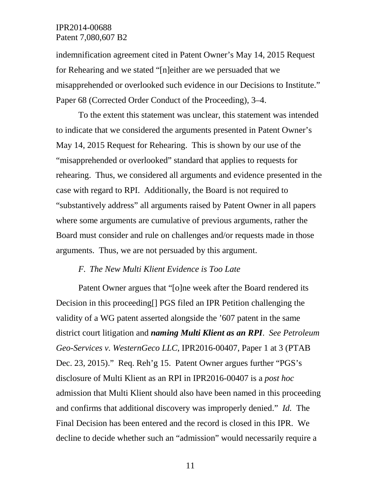indemnification agreement cited in Patent Owner's May 14, 2015 Request for Rehearing and we stated "[n]either are we persuaded that we misapprehended or overlooked such evidence in our Decisions to Institute." Paper 68 (Corrected Order Conduct of the Proceeding), 3–4.

To the extent this statement was unclear, this statement was intended to indicate that we considered the arguments presented in Patent Owner's May 14, 2015 Request for Rehearing. This is shown by our use of the "misapprehended or overlooked" standard that applies to requests for rehearing. Thus, we considered all arguments and evidence presented in the case with regard to RPI. Additionally, the Board is not required to "substantively address" all arguments raised by Patent Owner in all papers where some arguments are cumulative of previous arguments, rather the Board must consider and rule on challenges and/or requests made in those arguments. Thus, we are not persuaded by this argument.

### *F. The New Multi Klient Evidence is Too Late*

Patent Owner argues that "[o]ne week after the Board rendered its Decision in this proceeding[] PGS filed an IPR Petition challenging the validity of a WG patent asserted alongside the '607 patent in the same district court litigation and *naming Multi Klient as an RPI*. *See Petroleum Geo-Services v. WesternGeco LLC*, IPR2016-00407, Paper 1 at 3 (PTAB Dec. 23, 2015)." Req. Reh'g 15. Patent Owner argues further "PGS's disclosure of Multi Klient as an RPI in IPR2016-00407 is a *post hoc* admission that Multi Klient should also have been named in this proceeding and confirms that additional discovery was improperly denied." *Id.* The Final Decision has been entered and the record is closed in this IPR. We decline to decide whether such an "admission" would necessarily require a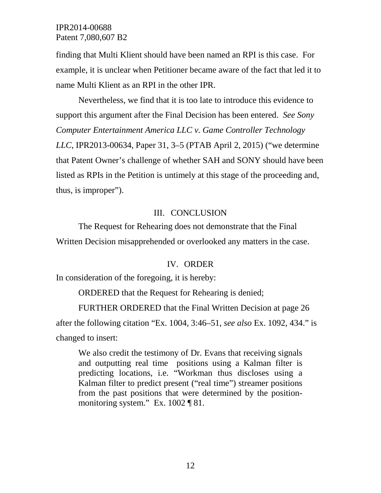finding that Multi Klient should have been named an RPI is this case. For example, it is unclear when Petitioner became aware of the fact that led it to name Multi Klient as an RPI in the other IPR.

Nevertheless, we find that it is too late to introduce this evidence to support this argument after the Final Decision has been entered. *See Sony Computer Entertainment America LLC v. Game Controller Technology LLC*, IPR2013-00634, Paper 31, 3–5 (PTAB April 2, 2015) ("we determine that Patent Owner's challenge of whether SAH and SONY should have been listed as RPIs in the Petition is untimely at this stage of the proceeding and, thus, is improper").

### III. CONCLUSION

The Request for Rehearing does not demonstrate that the Final Written Decision misapprehended or overlooked any matters in the case.

#### IV. ORDER

In consideration of the foregoing, it is hereby:

ORDERED that the Request for Rehearing is denied;

FURTHER ORDERED that the Final Written Decision at page 26 after the following citation "Ex. 1004, 3:46–51, *see also* Ex. 1092, 434." is changed to insert:

We also credit the testimony of Dr. Evans that receiving signals and outputting real time positions using a Kalman filter is predicting locations, i.e. "Workman thus discloses using a Kalman filter to predict present ("real time") streamer positions from the past positions that were determined by the positionmonitoring system." Ex. 1002 ¶ 81.